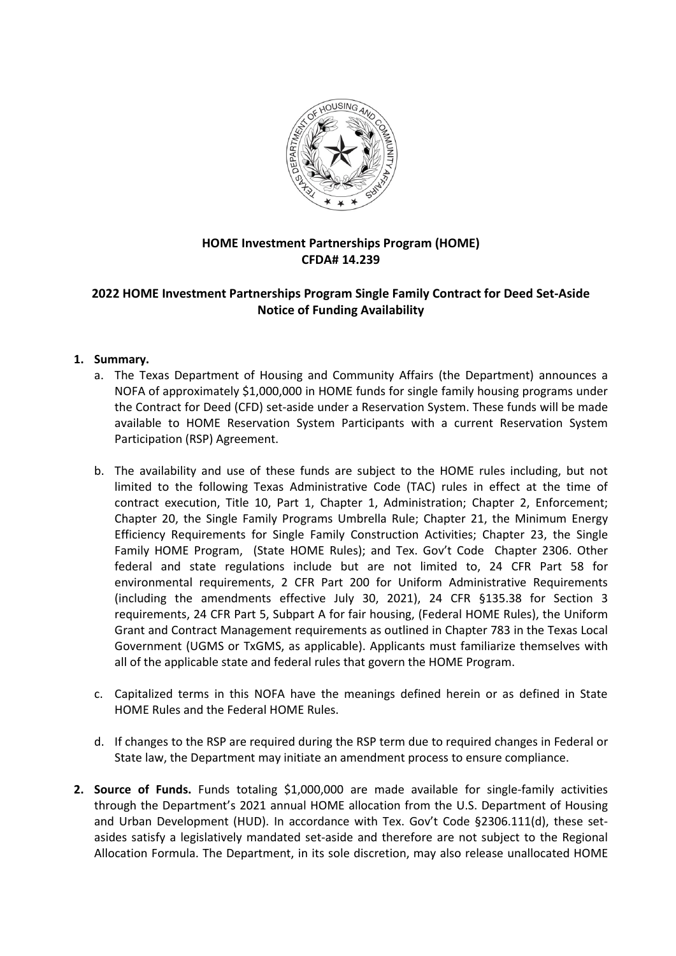

# **HOME Investment Partnerships Program (HOME) CFDA# 14.239**

## **2022 HOME Investment Partnerships Program Single Family Contract for Deed Set-Aside Notice of Funding Availability**

### **1. Summary.**

- a. The Texas Department of Housing and Community Affairs (the Department) announces a NOFA of approximately \$1,000,000 in HOME funds for single family housing programs under the Contract for Deed (CFD) set-aside under a Reservation System. These funds will be made available to HOME Reservation System Participants with a current Reservation System Participation (RSP) Agreement.
- b. The availability and use of these funds are subject to the HOME rules including, but not limited to the following Texas Administrative Code (TAC) rules in effect at the time of contract execution, Title 10, Part 1, Chapter 1, Administration; Chapter 2, Enforcement; Chapter 20, the Single Family Programs Umbrella Rule; Chapter 21, the Minimum Energy Efficiency Requirements for Single Family Construction Activities; Chapter 23, the Single Family HOME Program, (State HOME Rules); and Tex. Gov't Code Chapter 2306. Other federal and state regulations include but are not limited to, 24 CFR Part 58 for environmental requirements, 2 CFR Part 200 for Uniform Administrative Requirements (including the amendments effective July 30, 2021), 24 CFR §135.38 for Section 3 requirements, 24 CFR Part 5, Subpart A for fair housing, (Federal HOME Rules), the Uniform Grant and Contract Management requirements as outlined in Chapter 783 in the Texas Local Government (UGMS or TxGMS, as applicable). Applicants must familiarize themselves with all of the applicable state and federal rules that govern the HOME Program.
- c. Capitalized terms in this NOFA have the meanings defined herein or as defined in State HOME Rules and the Federal HOME Rules.
- d. If changes to the RSP are required during the RSP term due to required changes in Federal or State law, the Department may initiate an amendment process to ensure compliance.
- **2. Source of Funds.** Funds totaling \$1,000,000 are made available for single-family activities through the Department's 2021 annual HOME allocation from the U.S. Department of Housing and Urban Development (HUD). In accordance with Tex. Gov't Code §2306.111(d), these setasides satisfy a legislatively mandated set-aside and therefore are not subject to the Regional Allocation Formula. The Department, in its sole discretion, may also release unallocated HOME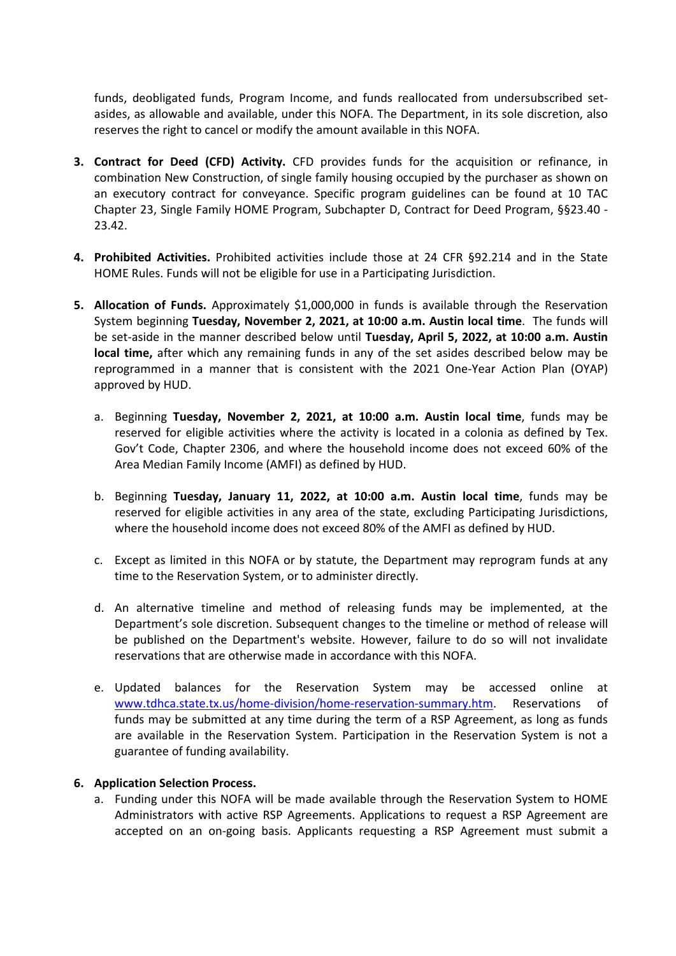funds, deobligated funds, Program Income, and funds reallocated from undersubscribed setasides, as allowable and available, under this NOFA. The Department, in its sole discretion, also reserves the right to cancel or modify the amount available in this NOFA.

- **3. Contract for Deed (CFD) Activity.** CFD provides funds for the acquisition or refinance, in combination New Construction, of single family housing occupied by the purchaser as shown on an executory contract for conveyance. Specific program guidelines can be found at 10 TAC Chapter 23, Single Family HOME Program, Subchapter D, Contract for Deed Program, §§23.40 - 23.42.
- **4. Prohibited Activities.** Prohibited activities include those at 24 CFR §92.214 and in the State HOME Rules. Funds will not be eligible for use in a Participating Jurisdiction.
- **5. Allocation of Funds.** Approximately \$1,000,000 in funds is available through the Reservation System beginning **Tuesday, November 2, 2021, at 10:00 a.m. Austin local time**. The funds will be set-aside in the manner described below until **Tuesday, April 5, 2022, at 10:00 a.m. Austin local time,** after which any remaining funds in any of the set asides described below may be reprogrammed in a manner that is consistent with the 2021 One-Year Action Plan (OYAP) approved by HUD.
	- a. Beginning **Tuesday, November 2, 2021, at 10:00 a.m. Austin local time**, funds may be reserved for eligible activities where the activity is located in a colonia as defined by Tex. Gov't Code, Chapter 2306, and where the household income does not exceed 60% of the Area Median Family Income (AMFI) as defined by HUD.
	- b. Beginning **Tuesday, January 11, 2022, at 10:00 a.m. Austin local time**, funds may be reserved for eligible activities in any area of the state, excluding Participating Jurisdictions, where the household income does not exceed 80% of the AMFI as defined by HUD.
	- c. Except as limited in this NOFA or by statute, the Department may reprogram funds at any time to the Reservation System, or to administer directly.
	- d. An alternative timeline and method of releasing funds may be implemented, at the Department's sole discretion. Subsequent changes to the timeline or method of release will be published on the Department's website. However, failure to do so will not invalidate reservations that are otherwise made in accordance with this NOFA.
	- e. Updated balances for the Reservation System may be accessed online at www.tdhca.state.tx.us/home-division/home-reservation-summary.htm. Reservations of funds may be submitted at any time during the term of a RSP Agreement, as long as funds are available in the Reservation System. Participation in the Reservation System is not a guarantee of funding availability.

#### **6. Application Selection Process.**

a. Funding under this NOFA will be made available through the Reservation System to HOME Administrators with active RSP Agreements. Applications to request a RSP Agreement are accepted on an on-going basis. Applicants requesting a RSP Agreement must submit a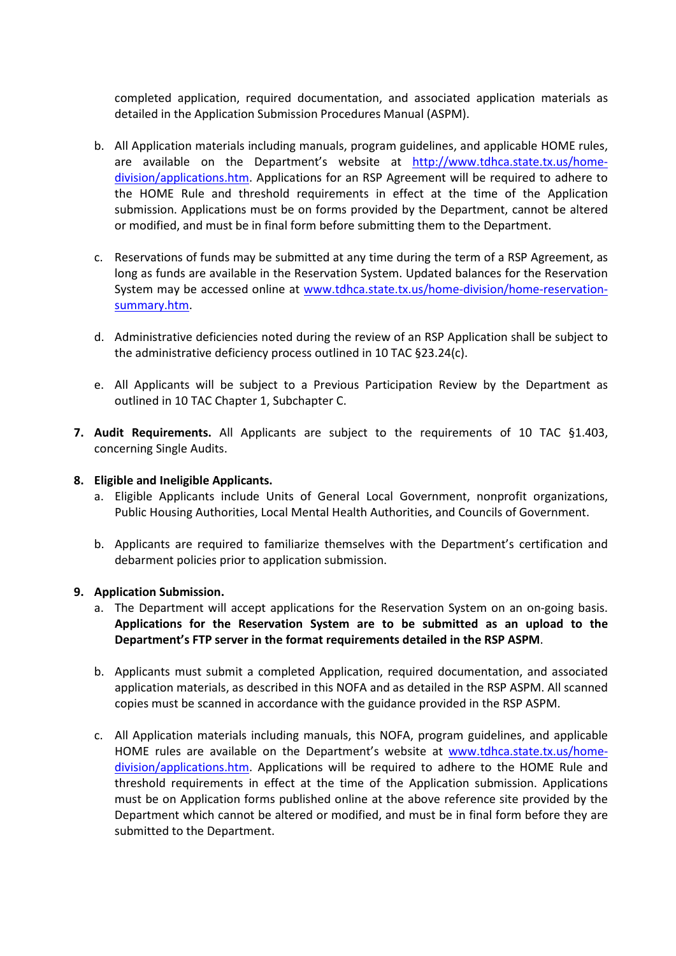completed application, required documentation, and associated application materials as detailed in the Application Submission Procedures Manual (ASPM).

- b. All Application materials including manuals, program guidelines, and applicable HOME rules, are available on the Department's website at [http://www.tdhca.state.tx.us/home](http://www.tdhca.state.tx.us/home-division/applications.htm)[division/applications.htm.](http://www.tdhca.state.tx.us/home-division/applications.htm) Applications for an RSP Agreement will be required to adhere to the HOME Rule and threshold requirements in effect at the time of the Application submission. Applications must be on forms provided by the Department, cannot be altered or modified, and must be in final form before submitting them to the Department.
- c. Reservations of funds may be submitted at any time during the term of a RSP Agreement, as long as funds are available in the Reservation System. Updated balances for the Reservation System may be accessed online at www.tdhca.state.tx.us/home-division/home-reservationsummary.htm.
- d. Administrative deficiencies noted during the review of an RSP Application shall be subject to the administrative deficiency process outlined in 10 TAC §23.24(c).
- e. All Applicants will be subject to a Previous Participation Review by the Department as outlined in 10 TAC Chapter 1, Subchapter C.
- **7. Audit Requirements.** All Applicants are subject to the requirements of 10 TAC §1.403, concerning Single Audits.

#### **8. Eligible and Ineligible Applicants.**

- a. Eligible Applicants include Units of General Local Government, nonprofit organizations, Public Housing Authorities, Local Mental Health Authorities, and Councils of Government.
- b. Applicants are required to familiarize themselves with the Department's certification and debarment policies prior to application submission.

#### **9. Application Submission.**

- a. The Department will accept applications for the Reservation System on an on-going basis. **Applications for the Reservation System are to be submitted as an upload to the Department's FTP server in the format requirements detailed in the RSP ASPM**.
- b. Applicants must submit a completed Application, required documentation, and associated application materials, as described in this NOFA and as detailed in the RSP ASPM. All scanned copies must be scanned in accordance with the guidance provided in the RSP ASPM.
- c. All Application materials including manuals, this NOFA, program guidelines, and applicable HOME rules are available on the Department's website at [www.tdhca.state.tx.us/home](http://www.tdhca.state.tx.us/home-division/applications.htm)[division/applications.htm.](http://www.tdhca.state.tx.us/home-division/applications.htm) Applications will be required to adhere to the HOME Rule and threshold requirements in effect at the time of the Application submission. Applications must be on Application forms published online at the above reference site provided by the Department which cannot be altered or modified, and must be in final form before they are submitted to the Department.